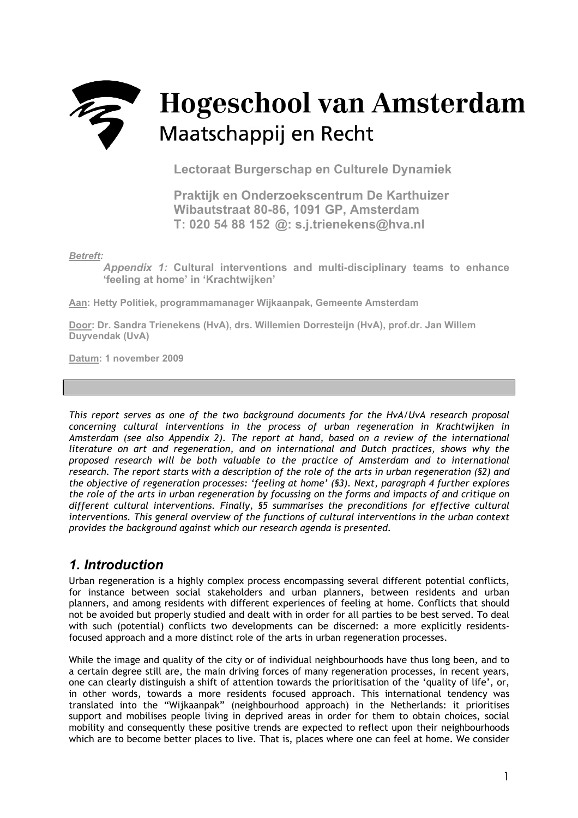# **Hogeschool van Amsterdam** they Maatschappij en Recht

**Lectoraat Burgerschap en Culturele Dynamiek** 

**Praktijk en Onderzoekscentrum De Karthuizer Wibautstraat 80-86, 1091 GP, Amsterdam T: 020 54 88 152 @: s.j.trienekens@hva.nl**

*Betreft:* 

*Appendix 1:* **Cultural interventions and multi-disciplinary teams to enhance 'feeling at home' in 'Krachtwijken'** 

**Aan: Hetty Politiek, programmamanager Wijkaanpak, Gemeente Amsterdam**

**Door: Dr. Sandra Trienekens (HvA), drs. Willemien Dorresteijn (HvA), prof.dr. Jan Willem Duyvendak (UvA)**

**Datum: 1 november 2009** 

*This report serves as one of the two background documents for the HvA/UvA research proposal concerning cultural interventions in the process of urban regeneration in Krachtwijken in Amsterdam (see also Appendix 2). The report at hand, based on a review of the international literature on art and regeneration, and on international and Dutch practices, shows why the proposed research will be both valuable to the practice of Amsterdam and to international research. The report starts with a description of the role of the arts in urban regeneration (§2) and the objective of regeneration processes: 'feeling at home' (§3). Next, paragraph 4 further explores the role of the arts in urban regeneration by focussing on the forms and impacts of and critique on different cultural interventions. Finally, §5 summarises the preconditions for effective cultural interventions. This general overview of the functions of cultural interventions in the urban context provides the background against which our research agenda is presented.* 

# *1. Introduction*

Urban regeneration is a highly complex process encompassing several different potential conflicts, for instance between social stakeholders and urban planners, between residents and urban planners, and among residents with different experiences of feeling at home. Conflicts that should not be avoided but properly studied and dealt with in order for all parties to be best served. To deal with such (potential) conflicts two developments can be discerned: a more explicitly residentsfocused approach and a more distinct role of the arts in urban regeneration processes.

While the image and quality of the city or of individual neighbourhoods have thus long been, and to a certain degree still are, the main driving forces of many regeneration processes, in recent years, one can clearly distinguish a shift of attention towards the prioritisation of the 'quality of life', or, in other words, towards a more residents focused approach. This international tendency was translated into the "Wijkaanpak" (neighbourhood approach) in the Netherlands: it prioritises support and mobilises people living in deprived areas in order for them to obtain choices, social mobility and consequently these positive trends are expected to reflect upon their neighbourhoods which are to become better places to live. That is, places where one can feel at home. We consider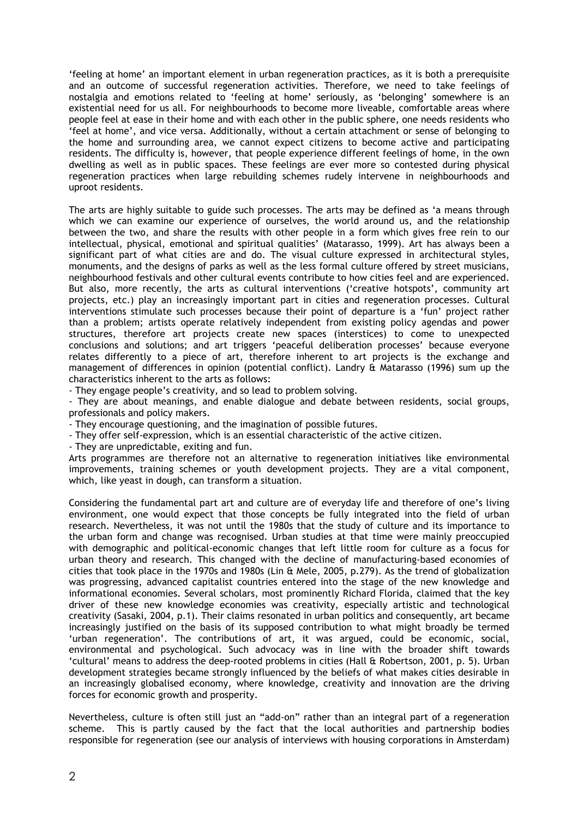'feeling at home' an important element in urban regeneration practices, as it is both a prerequisite and an outcome of successful regeneration activities. Therefore, we need to take feelings of nostalgia and emotions related to 'feeling at home' seriously, as 'belonging' somewhere is an existential need for us all. For neighbourhoods to become more liveable, comfortable areas where people feel at ease in their home and with each other in the public sphere, one needs residents who 'feel at home', and vice versa. Additionally, without a certain attachment or sense of belonging to the home and surrounding area, we cannot expect citizens to become active and participating residents. The difficulty is, however, that people experience different feelings of home, in the own dwelling as well as in public spaces. These feelings are ever more so contested during physical regeneration practices when large rebuilding schemes rudely intervene in neighbourhoods and uproot residents.

The arts are highly suitable to guide such processes. The arts may be defined as 'a means through which we can examine our experience of ourselves, the world around us, and the relationship between the two, and share the results with other people in a form which gives free rein to our intellectual, physical, emotional and spiritual qualities' (Matarasso, 1999). Art has always been a significant part of what cities are and do. The visual culture expressed in architectural styles, monuments, and the designs of parks as well as the less formal culture offered by street musicians, neighbourhood festivals and other cultural events contribute to how cities feel and are experienced. But also, more recently, the arts as cultural interventions ('creative hotspots', community art projects, etc.) play an increasingly important part in cities and regeneration processes. Cultural interventions stimulate such processes because their point of departure is a 'fun' project rather than a problem; artists operate relatively independent from existing policy agendas and power structures, therefore art projects create new spaces (interstices) to come to unexpected conclusions and solutions; and art triggers 'peaceful deliberation processes' because everyone relates differently to a piece of art, therefore inherent to art projects is the exchange and management of differences in opinion (potential conflict). Landry & Matarasso (1996) sum up the characteristics inherent to the arts as follows:

- They engage people's creativity, and so lead to problem solving.

- They are about meanings, and enable dialogue and debate between residents, social groups, professionals and policy makers.

- They encourage questioning, and the imagination of possible futures.
- They offer self-expression, which is an essential characteristic of the active citizen.

- They are unpredictable, exiting and fun.

Arts programmes are therefore not an alternative to regeneration initiatives like environmental improvements, training schemes or youth development projects. They are a vital component, which, like yeast in dough, can transform a situation.

Considering the fundamental part art and culture are of everyday life and therefore of one's living environment, one would expect that those concepts be fully integrated into the field of urban research. Nevertheless, it was not until the 1980s that the study of culture and its importance to the urban form and change was recognised. Urban studies at that time were mainly preoccupied with demographic and political-economic changes that left little room for culture as a focus for urban theory and research. This changed with the decline of manufacturing-based economies of cities that took place in the 1970s and 1980s (Lin & Mele, 2005, p.279). As the trend of globalization was progressing, advanced capitalist countries entered into the stage of the new knowledge and informational economies. Several scholars, most prominently Richard Florida, claimed that the key driver of these new knowledge economies was creativity, especially artistic and technological creativity (Sasaki, 2004, p.1). Their claims resonated in urban politics and consequently, art became increasingly justified on the basis of its supposed contribution to what might broadly be termed 'urban regeneration'. The contributions of art, it was argued, could be economic, social, environmental and psychological. Such advocacy was in line with the broader shift towards 'cultural' means to address the deep-rooted problems in cities (Hall & Robertson, 2001, p. 5). Urban development strategies became strongly influenced by the beliefs of what makes cities desirable in an increasingly globalised economy, where knowledge, creativity and innovation are the driving forces for economic growth and prosperity.

Nevertheless, culture is often still just an "add-on" rather than an integral part of a regeneration scheme. This is partly caused by the fact that the local authorities and partnership bodies responsible for regeneration (see our analysis of interviews with housing corporations in Amsterdam)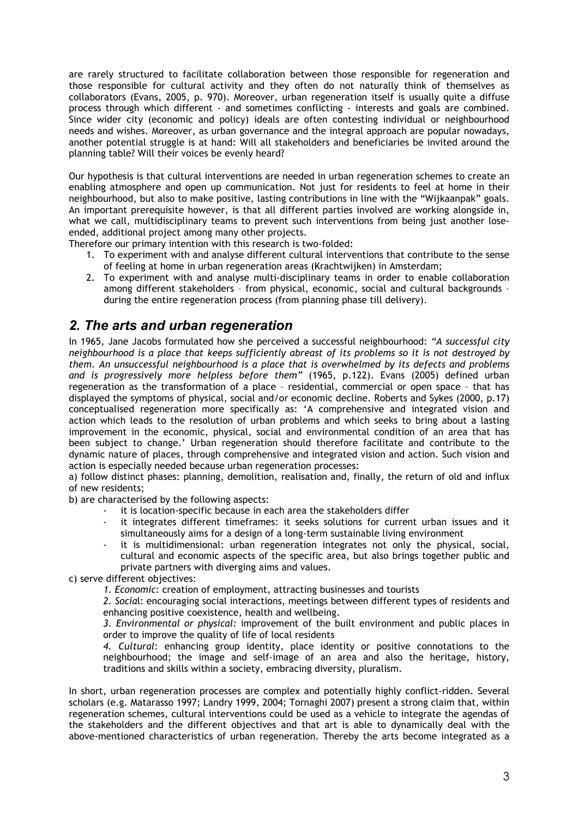are rarely structured to facilitate collaboration between those responsible for regeneration and those responsible for cultural activity and they often do not naturally think of themselves as collaborators (Evans, 2005, p. 970). Moreover, urban regeneration itself is usually quite a diffuse process through which different - and sometimes conflicting - interests and goals are combined. Since wider city (economic and policy) ideals are often contesting individual or neighbourhood needs and wishes. Moreover, as urban governance and the integral approach are popular nowadays, another potential struggle is at hand: Will all stakeholders and beneficiaries be invited around the planning table? Will their voices be evenly heard?

Our hypothesis is that cultural interventions are needed in urban regeneration schemes to create an enabling atmosphere and open up communication. Not just for residents to feel at home in their neighbourhood, but also to make positive, lasting contributions in line with the "Wijkaanpak" goals. An important prerequisite however, is that all different parties involved are working alongside in, what we call, multidisciplinary teams to prevent such interventions from being just another loseended, additional project among many other projects.

Therefore our primary intention with this research is two-folded:

- 1. To experiment with and analyse different cultural interventions that contribute to the sense of feeling at home in urban regeneration areas (Krachtwijken) in Amsterdam;
- 2. To experiment with and analyse multi-disciplinary teams in order to enable collaboration among different stakeholders – from physical, economic, social and cultural backgrounds – during the entire regeneration process (from planning phase till delivery).

# *2. The arts and urban regeneration*

In 1965, Jane Jacobs formulated how she perceived a successful neighbourhood: *"A successful city neighbourhood is a place that keeps sufficiently abreast of its problems so it is not destroyed by them. An unsuccessful neighbourhood is a place that is overwhelmed by its defects and problems and is progressively more helpless before them"* (1965, p.122). Evans (2005) defined urban regeneration as the transformation of a place – residential, commercial or open space – that has displayed the symptoms of physical, social and/or economic decline. Roberts and Sykes (2000, p.17) conceptualised regeneration more specifically as: 'A comprehensive and integrated vision and action which leads to the resolution of urban problems and which seeks to bring about a lasting improvement in the economic, physical, social and environmental condition of an area that has been subject to change.' Urban regeneration should therefore facilitate and contribute to the dynamic nature of places, through comprehensive and integrated vision and action. Such vision and action is especially needed because urban regeneration processes:

a) follow distinct phases: planning, demolition, realisation and, finally, the return of old and influx of new residents;

b) are characterised by the following aspects:

- it is location-specific because in each area the stakeholders differ
- it integrates different timeframes: it seeks solutions for current urban issues and it simultaneously aims for a design of a long-term sustainable living environment
- it is multidimensional: urban regeneration integrates not only the physical, social, cultural and economic aspects of the specific area, but also brings together public and private partners with diverging aims and values.

c) serve different objectives:

*1. Economic*: creation of employment, attracting businesses and tourists

*2. Socia*l: encouraging social interactions, meetings between different types of residents and enhancing positive coexistence, health and wellbeing.

*3. Environmental or physical:* improvement of the built environment and public places in order to improve the quality of life of local residents

*4. Cultural*: enhancing group identity, place identity or positive connotations to the neighbourhood; the image and self-image of an area and also the heritage, history, traditions and skills within a society, embracing diversity, pluralism.

In short, urban regeneration processes are complex and potentially highly conflict-ridden. Several scholars (e.g. Matarasso 1997; Landry 1999, 2004; Tornaghi 2007) present a strong claim that, within regeneration schemes, cultural interventions could be used as a vehicle to integrate the agendas of the stakeholders and the different objectives and that art is able to dynamically deal with the above-mentioned characteristics of urban regeneration. Thereby the arts become integrated as a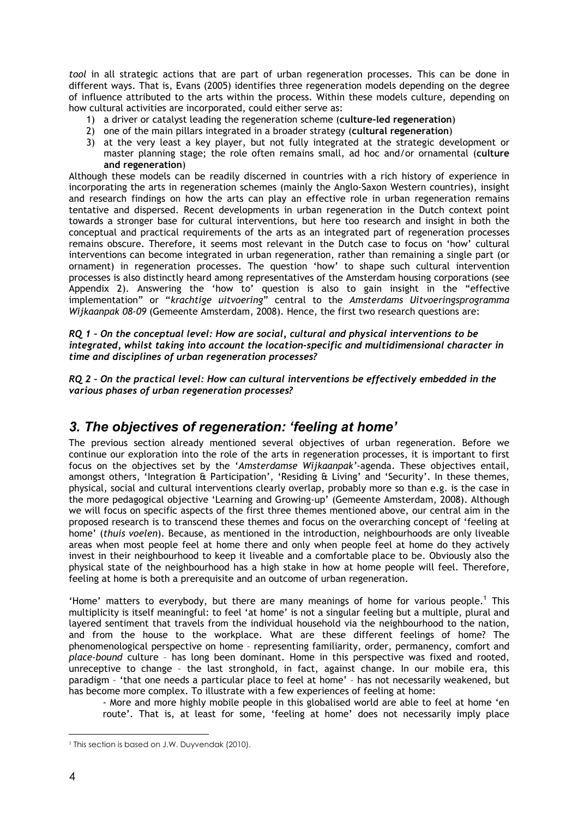*tool* in all strategic actions that are part of urban regeneration processes. This can be done in different ways. That is, Evans (2005) identifies three regeneration models depending on the degree of influence attributed to the arts within the process. Within these models culture, depending on how cultural activities are incorporated, could either serve as:

- 1) a driver or catalyst leading the regeneration scheme (**culture-led regeneration**)
- 2) one of the main pillars integrated in a broader strategy (**cultural regeneration**)
- 3) at the very least a key player, but not fully integrated at the strategic development or master planning stage; the role often remains small, ad hoc and/or ornamental (**culture and regeneration**)

Although these models can be readily discerned in countries with a rich history of experience in incorporating the arts in regeneration schemes (mainly the Anglo-Saxon Western countries), insight and research findings on how the arts can play an effective role in urban regeneration remains tentative and dispersed. Recent developments in urban regeneration in the Dutch context point towards a stronger base for cultural interventions, but here too research and insight in both the conceptual and practical requirements of the arts as an integrated part of regeneration processes remains obscure. Therefore, it seems most relevant in the Dutch case to focus on 'how' cultural interventions can become integrated in urban regeneration, rather than remaining a single part (or ornament) in regeneration processes. The question 'how' to shape such cultural intervention processes is also distinctly heard among representatives of the Amsterdam housing corporations (see Appendix 2). Answering the 'how to' question is also to gain insight in the "effective implementation" or "*krachtige uitvoering*" central to the *Amsterdams Uitvoeringsprogramma Wijkaanpak 08-09* (Gemeente Amsterdam, 2008). Hence, the first two research questions are:

### *RQ 1 – On the conceptual level: How are social, cultural and physical interventions to be integrated, whilst taking into account the location-specific and multidimensional character in time and disciplines of urban regeneration processes?*

*RQ 2 – On the practical level: How can cultural interventions be effectively embedded in the various phases of urban regeneration processes?* 

### *3. The objectives of regeneration: 'feeling at home'*

The previous section already mentioned several objectives of urban regeneration. Before we continue our exploration into the role of the arts in regeneration processes, it is important to first focus on the objectives set by the '*Amsterdamse Wijkaanpak'*-agenda. These objectives entail, amongst others, 'Integration & Participation', 'Residing & Living' and 'Security'. In these themes, physical, social and cultural interventions clearly overlap, probably more so than e.g. is the case in the more pedagogical objective 'Learning and Growing-up' (Gemeente Amsterdam, 2008). Although we will focus on specific aspects of the first three themes mentioned above, our central aim in the proposed research is to transcend these themes and focus on the overarching concept of 'feeling at home' (*thuis voelen*). Because, as mentioned in the introduction, neighbourhoods are only liveable areas when most people feel at home there and only when people feel at home do they actively invest in their neighbourhood to keep it liveable and a comfortable place to be. Obviously also the physical state of the neighbourhood has a high stake in how at home people will feel. Therefore, feeling at home is both a prerequisite and an outcome of urban regeneration.

'Home' matters to everybody, but there are many meanings of home for various people.<sup>1</sup> This multiplicity is itself meaningful: to feel 'at home' is not a singular feeling but a multiple, plural and layered sentiment that travels from the individual household via the neighbourhood to the nation, and from the house to the workplace. What are these different feelings of home? The phenomenological perspective on home – representing familiarity, order, permanency, comfort and *place-bound* culture – has long been dominant. Home in this perspective was fixed and rooted, unreceptive to change – the last stronghold, in fact, against change. In our mobile era, this paradigm – 'that one needs a particular place to feel at home' – has not necessarily weakened, but has become more complex. To illustrate with a few experiences of feeling at home:

- More and more highly mobile people in this globalised world are able to feel at home 'en route'. That is, at least for some, 'feeling at home' does not necessarily imply place

<sup>&</sup>lt;sup>1</sup> This section is based on J.W. Duyvendak (2010).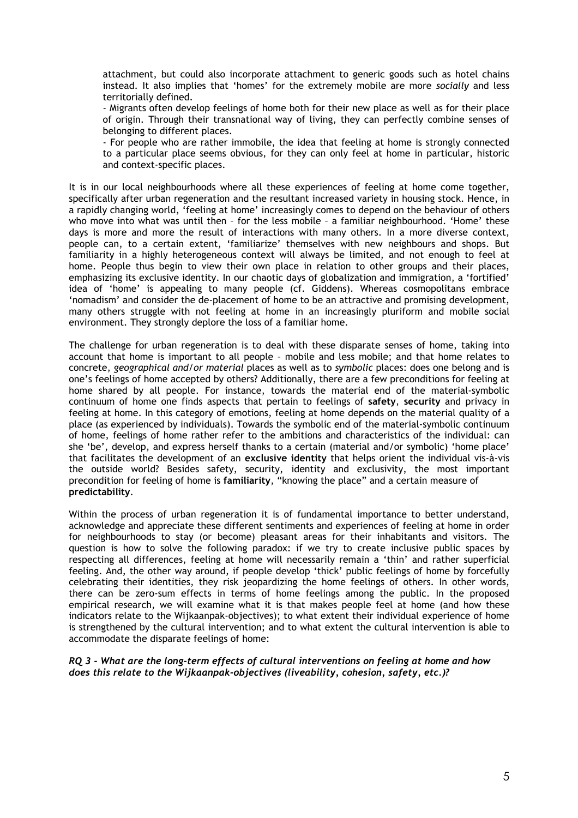attachment, but could also incorporate attachment to generic goods such as hotel chains instead. It also implies that 'homes' for the extremely mobile are more *socially* and less territorially defined.

- Migrants often develop feelings of home both for their new place as well as for their place of origin. Through their transnational way of living, they can perfectly combine senses of belonging to different places.

- For people who are rather immobile, the idea that feeling at home is strongly connected to a particular place seems obvious, for they can only feel at home in particular, historic and context-specific places.

It is in our local neighbourhoods where all these experiences of feeling at home come together, specifically after urban regeneration and the resultant increased variety in housing stock. Hence, in a rapidly changing world, 'feeling at home' increasingly comes to depend on the behaviour of others who move into what was until then – for the less mobile – a familiar neighbourhood. 'Home' these days is more and more the result of interactions with many others. In a more diverse context, people can, to a certain extent, 'familiarize' themselves with new neighbours and shops. But familiarity in a highly heterogeneous context will always be limited, and not enough to feel at home. People thus begin to view their own place in relation to other groups and their places, emphasizing its exclusive identity. In our chaotic days of globalization and immigration, a 'fortified' idea of 'home' is appealing to many people (cf. Giddens). Whereas cosmopolitans embrace 'nomadism' and consider the de-placement of home to be an attractive and promising development, many others struggle with not feeling at home in an increasingly pluriform and mobile social environment. They strongly deplore the loss of a familiar home.

The challenge for urban regeneration is to deal with these disparate senses of home, taking into account that home is important to all people – mobile and less mobile; and that home relates to concrete, *geographical and/or material* places as well as to *symbolic* places: does one belong and is one's feelings of home accepted by others? Additionally, there are a few preconditions for feeling at home shared by all people. For instance, towards the material end of the material-symbolic continuum of home one finds aspects that pertain to feelings of **safety**, **security** and privacy in feeling at home. In this category of emotions, feeling at home depends on the material quality of a place (as experienced by individuals). Towards the symbolic end of the material-symbolic continuum of home, feelings of home rather refer to the ambitions and characteristics of the individual: can she 'be', develop, and express herself thanks to a certain (material and/or symbolic) 'home place' that facilitates the development of an **exclusive identity** that helps orient the individual vis-à-vis the outside world? Besides safety, security, identity and exclusivity, the most important precondition for feeling of home is **familiarity**, "knowing the place" and a certain measure of **predictability**.

Within the process of urban regeneration it is of fundamental importance to better understand, acknowledge and appreciate these different sentiments and experiences of feeling at home in order for neighbourhoods to stay (or become) pleasant areas for their inhabitants and visitors. The question is how to solve the following paradox: if we try to create inclusive public spaces by respecting all differences, feeling at home will necessarily remain a 'thin' and rather superficial feeling. And, the other way around, if people develop 'thick' public feelings of home by forcefully celebrating their identities, they risk jeopardizing the home feelings of others. In other words, there can be zero-sum effects in terms of home feelings among the public. In the proposed empirical research, we will examine what it is that makes people feel at home (and how these indicators relate to the Wijkaanpak-objectives); to what extent their individual experience of home is strengthened by the cultural intervention; and to what extent the cultural intervention is able to accommodate the disparate feelings of home:

*RQ 3 - What are the long-term effects of cultural interventions on feeling at home and how does this relate to the Wijkaanpak-objectives (liveability, cohesion, safety, etc.)?*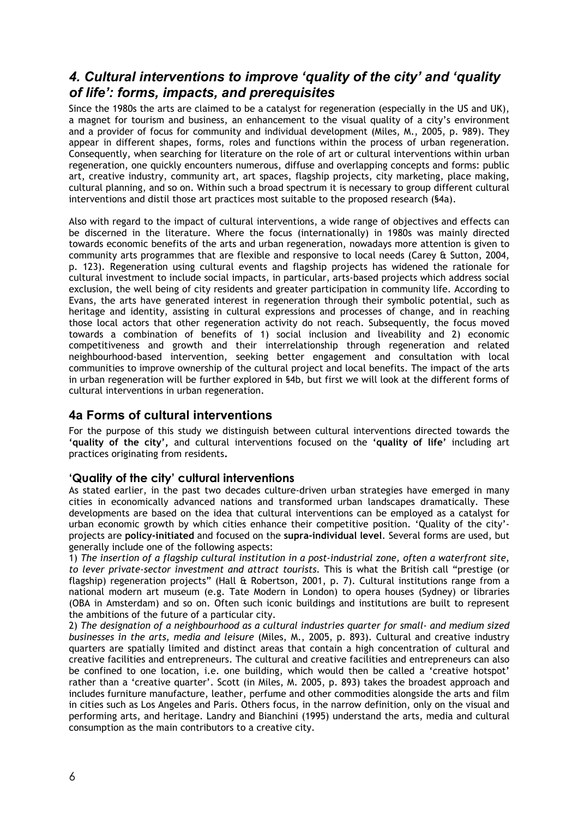# *4. Cultural interventions to improve 'quality of the city' and 'quality of life': forms, impacts, and prerequisites*

Since the 1980s the arts are claimed to be a catalyst for regeneration (especially in the US and UK), a magnet for tourism and business, an enhancement to the visual quality of a city's environment and a provider of focus for community and individual development (Miles, M., 2005, p. 989). They appear in different shapes, forms, roles and functions within the process of urban regeneration. Consequently, when searching for literature on the role of art or cultural interventions within urban regeneration, one quickly encounters numerous, diffuse and overlapping concepts and forms: public art, creative industry, community art, art spaces, flagship projects, city marketing, place making, cultural planning, and so on. Within such a broad spectrum it is necessary to group different cultural interventions and distil those art practices most suitable to the proposed research (§4a).

Also with regard to the impact of cultural interventions, a wide range of objectives and effects can be discerned in the literature. Where the focus (internationally) in 1980s was mainly directed towards economic benefits of the arts and urban regeneration, nowadays more attention is given to community arts programmes that are flexible and responsive to local needs (Carey & Sutton, 2004, p. 123). Regeneration using cultural events and flagship projects has widened the rationale for cultural investment to include social impacts, in particular, arts-based projects which address social exclusion, the well being of city residents and greater participation in community life. According to Evans, the arts have generated interest in regeneration through their symbolic potential, such as heritage and identity, assisting in cultural expressions and processes of change, and in reaching those local actors that other regeneration activity do not reach. Subsequently, the focus moved towards a combination of benefits of 1) social inclusion and liveability and 2) economic competitiveness and growth and their interrelationship through regeneration and related neighbourhood-based intervention, seeking better engagement and consultation with local communities to improve ownership of the cultural project and local benefits. The impact of the arts in urban regeneration will be further explored in §4b, but first we will look at the different forms of cultural interventions in urban regeneration.

### **4a Forms of cultural interventions**

For the purpose of this study we distinguish between cultural interventions directed towards the **'quality of the city',** and cultural interventions focused on the **'quality of life'** including art practices originating from residents**.**

### **'Quality of the city' cultural interventions**

As stated earlier, in the past two decades culture-driven urban strategies have emerged in many cities in economically advanced nations and transformed urban landscapes dramatically. These developments are based on the idea that cultural interventions can be employed as a catalyst for urban economic growth by which cities enhance their competitive position. 'Quality of the city' projects are **policy-initiated** and focused on the **supra-individual level**. Several forms are used, but generally include one of the following aspects:

1) *The insertion of a flagship cultural institution in a post-industrial zone, often a waterfront site, to lever private-sector investment and attract tourists.* This is what the British call "prestige (or flagship) regeneration projects" (Hall & Robertson, 2001, p. 7). Cultural institutions range from a national modern art museum (e.g. Tate Modern in London) to opera houses (Sydney) or libraries (OBA in Amsterdam) and so on. Often such iconic buildings and institutions are built to represent the ambitions of the future of a particular city.

2) *The designation of a neighbourhood as a cultural industries quarter for small- and medium sized businesses in the arts, media and leisure* (Miles, M., 2005, p. 893). Cultural and creative industry quarters are spatially limited and distinct areas that contain a high concentration of cultural and creative facilities and entrepreneurs. The cultural and creative facilities and entrepreneurs can also be confined to one location, i.e. one building, which would then be called a 'creative hotspot' rather than a 'creative quarter'. Scott (in Miles, M. 2005, p. 893) takes the broadest approach and includes furniture manufacture, leather, perfume and other commodities alongside the arts and film in cities such as Los Angeles and Paris. Others focus, in the narrow definition, only on the visual and performing arts, and heritage. Landry and Bianchini (1995) understand the arts, media and cultural consumption as the main contributors to a creative city.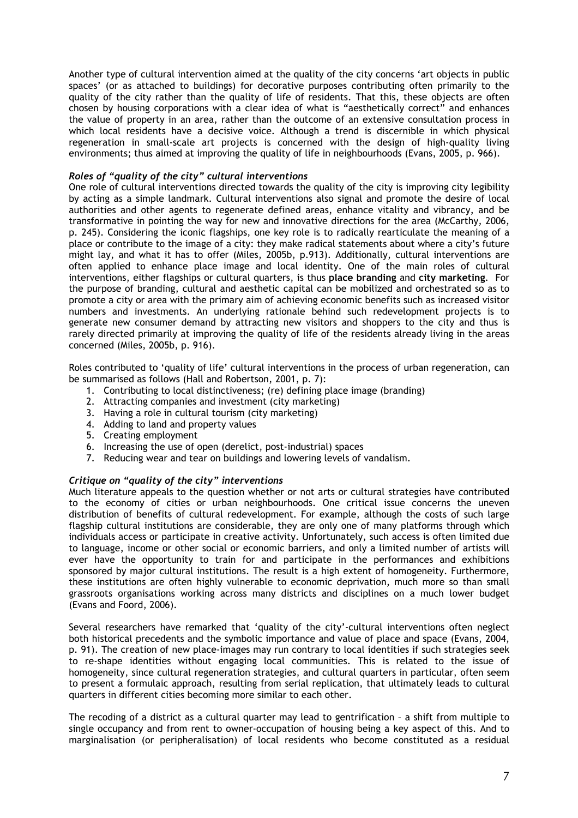Another type of cultural intervention aimed at the quality of the city concerns 'art objects in public spaces' (or as attached to buildings) for decorative purposes contributing often primarily to the quality of the city rather than the quality of life of residents. That this, these objects are often chosen by housing corporations with a clear idea of what is "aesthetically correct" and enhances the value of property in an area, rather than the outcome of an extensive consultation process in which local residents have a decisive voice. Although a trend is discernible in which physical regeneration in small-scale art projects is concerned with the design of high-quality living environments; thus aimed at improving the quality of life in neighbourhoods (Evans, 2005, p. 966).

### *Roles of "quality of the city" cultural interventions*

One role of cultural interventions directed towards the quality of the city is improving city legibility by acting as a simple landmark. Cultural interventions also signal and promote the desire of local authorities and other agents to regenerate defined areas, enhance vitality and vibrancy, and be transformative in pointing the way for new and innovative directions for the area (McCarthy, 2006, p. 245). Considering the iconic flagships, one key role is to radically rearticulate the meaning of a place or contribute to the image of a city: they make radical statements about where a city's future might lay, and what it has to offer (Miles, 2005b, p.913). Additionally, cultural interventions are often applied to enhance place image and local identity. One of the main roles of cultural interventions, either flagships or cultural quarters, is thus **place branding** and **city marketing**. For the purpose of branding, cultural and aesthetic capital can be mobilized and orchestrated so as to promote a city or area with the primary aim of achieving economic benefits such as increased visitor numbers and investments. An underlying rationale behind such redevelopment projects is to generate new consumer demand by attracting new visitors and shoppers to the city and thus is rarely directed primarily at improving the quality of life of the residents already living in the areas concerned (Miles, 2005b, p. 916).

Roles contributed to 'quality of life' cultural interventions in the process of urban regeneration, can be summarised as follows (Hall and Robertson, 2001, p. 7):

- 1. Contributing to local distinctiveness; (re) defining place image (branding)
- 2. Attracting companies and investment (city marketing)
- 3. Having a role in cultural tourism (city marketing)
- 4. Adding to land and property values
- 5. Creating employment
- 6. Increasing the use of open (derelict, post-industrial) spaces
- 7. Reducing wear and tear on buildings and lowering levels of vandalism.

#### *Critique on "quality of the city" interventions*

Much literature appeals to the question whether or not arts or cultural strategies have contributed to the economy of cities or urban neighbourhoods. One critical issue concerns the uneven distribution of benefits of cultural redevelopment. For example, although the costs of such large flagship cultural institutions are considerable, they are only one of many platforms through which individuals access or participate in creative activity. Unfortunately, such access is often limited due to language, income or other social or economic barriers, and only a limited number of artists will ever have the opportunity to train for and participate in the performances and exhibitions sponsored by major cultural institutions. The result is a high extent of homogeneity. Furthermore, these institutions are often highly vulnerable to economic deprivation, much more so than small grassroots organisations working across many districts and disciplines on a much lower budget (Evans and Foord, 2006).

Several researchers have remarked that 'quality of the city'-cultural interventions often neglect both historical precedents and the symbolic importance and value of place and space (Evans, 2004, p. 91). The creation of new place-images may run contrary to local identities if such strategies seek to re-shape identities without engaging local communities. This is related to the issue of homogeneity, since cultural regeneration strategies, and cultural quarters in particular, often seem to present a formulaic approach, resulting from serial replication, that ultimately leads to cultural quarters in different cities becoming more similar to each other.

The recoding of a district as a cultural quarter may lead to gentrification – a shift from multiple to single occupancy and from rent to owner-occupation of housing being a key aspect of this. And to marginalisation (or peripheralisation) of local residents who become constituted as a residual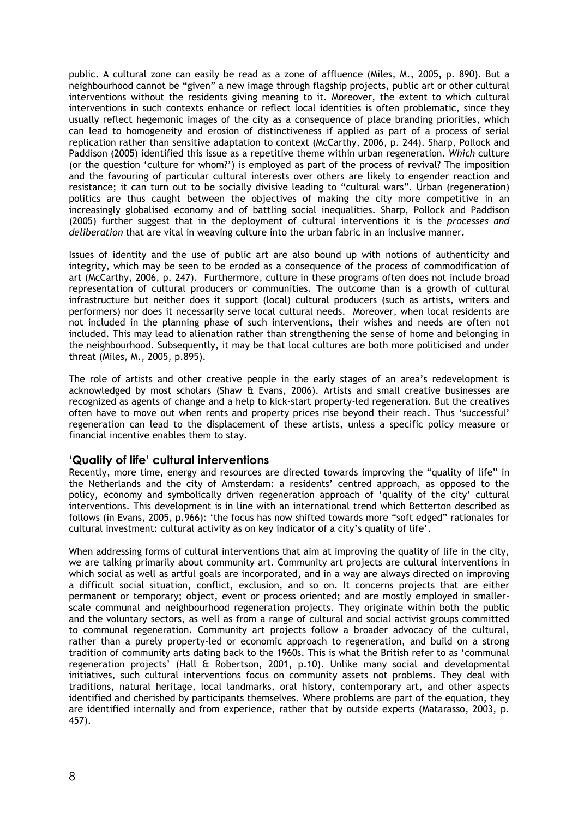public. A cultural zone can easily be read as a zone of affluence (Miles, M., 2005, p. 890). But a neighbourhood cannot be "given" a new image through flagship projects, public art or other cultural interventions without the residents giving meaning to it. Moreover, the extent to which cultural interventions in such contexts enhance or reflect local identities is often problematic, since they usually reflect hegemonic images of the city as a consequence of place branding priorities, which can lead to homogeneity and erosion of distinctiveness if applied as part of a process of serial replication rather than sensitive adaptation to context (McCarthy, 2006, p. 244). Sharp, Pollock and Paddison (2005) identified this issue as a repetitive theme within urban regeneration. *Which* culture (or the question 'culture for whom?') is employed as part of the process of revival? The imposition and the favouring of particular cultural interests over others are likely to engender reaction and resistance; it can turn out to be socially divisive leading to "cultural wars". Urban (regeneration) politics are thus caught between the objectives of making the city more competitive in an increasingly globalised economy and of battling social inequalities. Sharp, Pollock and Paddison (2005) further suggest that in the deployment of cultural interventions it is the *processes and deliberation* that are vital in weaving culture into the urban fabric in an inclusive manner.

Issues of identity and the use of public art are also bound up with notions of authenticity and integrity, which may be seen to be eroded as a consequence of the process of commodification of art (McCarthy, 2006, p. 247). Furthermore, culture in these programs often does not include broad representation of cultural producers or communities. The outcome than is a growth of cultural infrastructure but neither does it support (local) cultural producers (such as artists, writers and performers) nor does it necessarily serve local cultural needs. Moreover, when local residents are not included in the planning phase of such interventions, their wishes and needs are often not included. This may lead to alienation rather than strengthening the sense of home and belonging in the neighbourhood. Subsequently, it may be that local cultures are both more politicised and under threat (Miles, M., 2005, p.895).

The role of artists and other creative people in the early stages of an area's redevelopment is acknowledged by most scholars (Shaw & Evans, 2006). Artists and small creative businesses are recognized as agents of change and a help to kick-start property-led regeneration. But the creatives often have to move out when rents and property prices rise beyond their reach. Thus 'successful' regeneration can lead to the displacement of these artists, unless a specific policy measure or financial incentive enables them to stay.

### **'Quality of life' cultural interventions**

Recently, more time, energy and resources are directed towards improving the "quality of life" in the Netherlands and the city of Amsterdam: a residents' centred approach, as opposed to the policy, economy and symbolically driven regeneration approach of 'quality of the city' cultural interventions. This development is in line with an international trend which Betterton described as follows (in Evans, 2005, p.966): 'the focus has now shifted towards more "soft edged" rationales for cultural investment: cultural activity as on key indicator of a city's quality of life'.

When addressing forms of cultural interventions that aim at improving the quality of life in the city, we are talking primarily about community art. Community art projects are cultural interventions in which social as well as artful goals are incorporated, and in a way are always directed on improving a difficult social situation, conflict, exclusion, and so on. It concerns projects that are either permanent or temporary; object, event or process oriented; and are mostly employed in smallerscale communal and neighbourhood regeneration projects. They originate within both the public and the voluntary sectors, as well as from a range of cultural and social activist groups committed to communal regeneration. Community art projects follow a broader advocacy of the cultural, rather than a purely property-led or economic approach to regeneration, and build on a strong tradition of community arts dating back to the 1960s. This is what the British refer to as 'communal regeneration projects' (Hall & Robertson, 2001, p.10). Unlike many social and developmental initiatives, such cultural interventions focus on community assets not problems. They deal with traditions, natural heritage, local landmarks, oral history, contemporary art, and other aspects identified and cherished by participants themselves. Where problems are part of the equation, they are identified internally and from experience, rather that by outside experts (Matarasso, 2003, p. 457).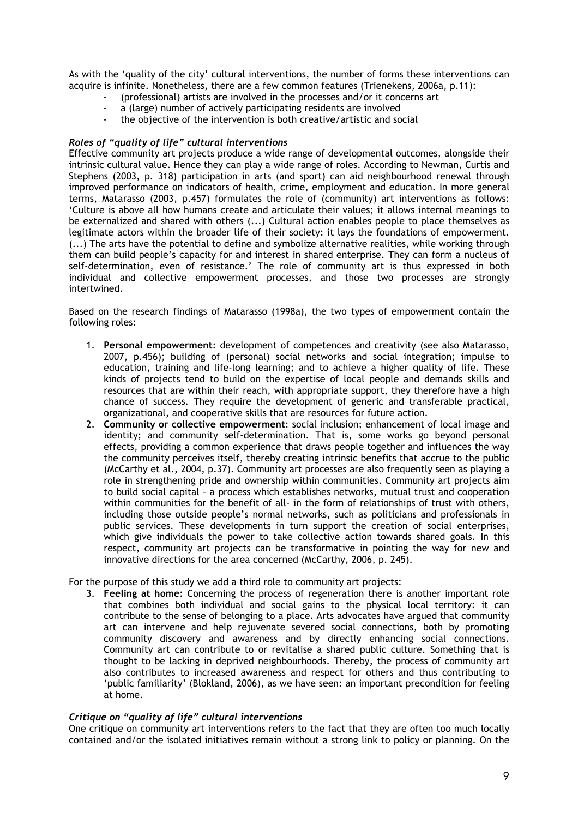As with the 'quality of the city' cultural interventions, the number of forms these interventions can acquire is infinite. Nonetheless, there are a few common features (Trienekens, 2006a, p.11):

- (professional) artists are involved in the processes and/or it concerns art
- a (large) number of actively participating residents are involved
- the objective of the intervention is both creative/artistic and social

### *Roles of "quality of life" cultural interventions*

Effective community art projects produce a wide range of developmental outcomes, alongside their intrinsic cultural value. Hence they can play a wide range of roles. According to Newman, Curtis and Stephens (2003, p. 318) participation in arts (and sport) can aid neighbourhood renewal through improved performance on indicators of health, crime, employment and education. In more general terms, Matarasso (2003, p.457) formulates the role of (community) art interventions as follows: 'Culture is above all how humans create and articulate their values; it allows internal meanings to be externalized and shared with others (...) Cultural action enables people to place themselves as legitimate actors within the broader life of their society: it lays the foundations of empowerment. (...) The arts have the potential to define and symbolize alternative realities, while working through them can build people's capacity for and interest in shared enterprise. They can form a nucleus of self-determination, even of resistance.' The role of community art is thus expressed in both individual and collective empowerment processes, and those two processes are strongly intertwined.

Based on the research findings of Matarasso (1998a), the two types of empowerment contain the following roles:

- 1. **Personal empowerment**: development of competences and creativity (see also Matarasso, 2007, p.456); building of (personal) social networks and social integration; impulse to education, training and life-long learning; and to achieve a higher quality of life. These kinds of projects tend to build on the expertise of local people and demands skills and resources that are within their reach, with appropriate support, they therefore have a high chance of success. They require the development of generic and transferable practical, organizational, and cooperative skills that are resources for future action.
- 2. **Community or collective empowerment**: social inclusion; enhancement of local image and identity; and community self-determination. That is, some works go beyond personal effects, providing a common experience that draws people together and influences the way the community perceives itself, thereby creating intrinsic benefits that accrue to the public (McCarthy et al., 2004, p.37). Community art processes are also frequently seen as playing a role in strengthening pride and ownership within communities. Community art projects aim to build social capital – a process which establishes networks, mutual trust and cooperation within communities for the benefit of all- in the form of relationships of trust with others, including those outside people's normal networks, such as politicians and professionals in public services. These developments in turn support the creation of social enterprises, which give individuals the power to take collective action towards shared goals. In this respect, community art projects can be transformative in pointing the way for new and innovative directions for the area concerned (McCarthy, 2006, p. 245).

#### For the purpose of this study we add a third role to community art projects:

3. **Feeling at home**: Concerning the process of regeneration there is another important role that combines both individual and social gains to the physical local territory: it can contribute to the sense of belonging to a place. Arts advocates have argued that community art can intervene and help rejuvenate severed social connections, both by promoting community discovery and awareness and by directly enhancing social connections. Community art can contribute to or revitalise a shared public culture. Something that is thought to be lacking in deprived neighbourhoods. Thereby, the process of community art also contributes to increased awareness and respect for others and thus contributing to 'public familiarity' (Blokland, 2006), as we have seen: an important precondition for feeling at home.

#### *Critique on "quality of life" cultural interventions*

One critique on community art interventions refers to the fact that they are often too much locally contained and/or the isolated initiatives remain without a strong link to policy or planning. On the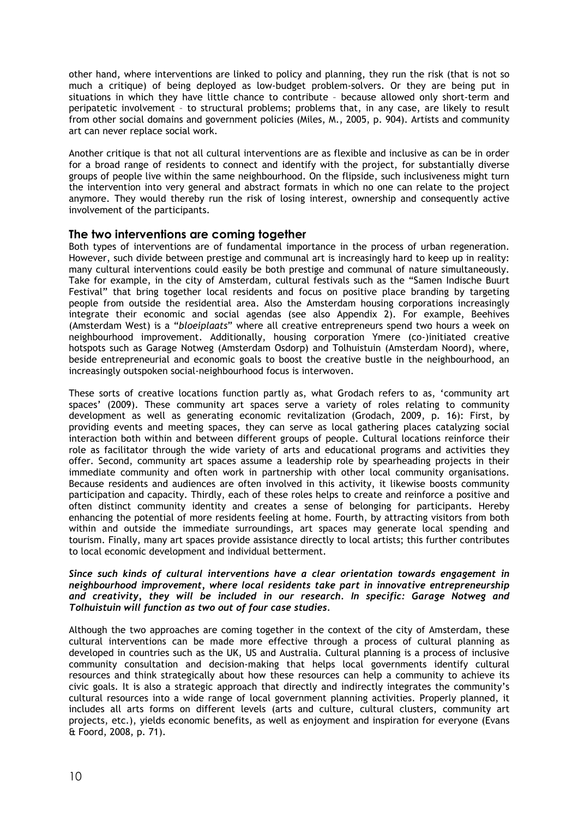other hand, where interventions are linked to policy and planning, they run the risk (that is not so much a critique) of being deployed as low-budget problem-solvers. Or they are being put in situations in which they have little chance to contribute – because allowed only short-term and peripatetic involvement – to structural problems; problems that, in any case, are likely to result from other social domains and government policies (Miles, M., 2005, p. 904). Artists and community art can never replace social work.

Another critique is that not all cultural interventions are as flexible and inclusive as can be in order for a broad range of residents to connect and identify with the project, for substantially diverse groups of people live within the same neighbourhood. On the flipside, such inclusiveness might turn the intervention into very general and abstract formats in which no one can relate to the project anymore. They would thereby run the risk of losing interest, ownership and consequently active involvement of the participants.

### **The two interventions are coming together**

Both types of interventions are of fundamental importance in the process of urban regeneration. However, such divide between prestige and communal art is increasingly hard to keep up in reality: many cultural interventions could easily be both prestige and communal of nature simultaneously. Take for example, in the city of Amsterdam, cultural festivals such as the "Samen Indische Buurt Festival" that bring together local residents and focus on positive place branding by targeting people from outside the residential area. Also the Amsterdam housing corporations increasingly integrate their economic and social agendas (see also Appendix 2). For example, Beehives (Amsterdam West) is a "*bloeiplaats*" where all creative entrepreneurs spend two hours a week on neighbourhood improvement. Additionally, housing corporation Ymere (co-)initiated creative hotspots such as Garage Notweg (Amsterdam Osdorp) and Tolhuistuin (Amsterdam Noord), where, beside entrepreneurial and economic goals to boost the creative bustle in the neighbourhood, an increasingly outspoken social-neighbourhood focus is interwoven.

These sorts of creative locations function partly as, what Grodach refers to as, 'community art spaces' (2009). These community art spaces serve a variety of roles relating to community development as well as generating economic revitalization (Grodach, 2009, p. 16): First, by providing events and meeting spaces, they can serve as local gathering places catalyzing social interaction both within and between different groups of people. Cultural locations reinforce their role as facilitator through the wide variety of arts and educational programs and activities they offer. Second, community art spaces assume a leadership role by spearheading projects in their immediate community and often work in partnership with other local community organisations. Because residents and audiences are often involved in this activity, it likewise boosts community participation and capacity. Thirdly, each of these roles helps to create and reinforce a positive and often distinct community identity and creates a sense of belonging for participants. Hereby enhancing the potential of more residents feeling at home. Fourth, by attracting visitors from both within and outside the immediate surroundings, art spaces may generate local spending and tourism. Finally, many art spaces provide assistance directly to local artists; this further contributes to local economic development and individual betterment.

### *Since such kinds of cultural interventions have a clear orientation towards engagement in neighbourhood improvement, where local residents take part in innovative entrepreneurship and creativity, they will be included in our research. In specific: Garage Notweg and Tolhuistuin will function as two out of four case studies.*

Although the two approaches are coming together in the context of the city of Amsterdam, these cultural interventions can be made more effective through a process of cultural planning as developed in countries such as the UK, US and Australia. Cultural planning is a process of inclusive community consultation and decision-making that helps local governments identify cultural resources and think strategically about how these resources can help a community to achieve its civic goals. It is also a strategic approach that directly and indirectly integrates the community's cultural resources into a wide range of local government planning activities. Properly planned, it includes all arts forms on different levels (arts and culture, cultural clusters, community art projects, etc.), yields economic benefits, as well as enjoyment and inspiration for everyone (Evans & Foord, 2008, p. 71).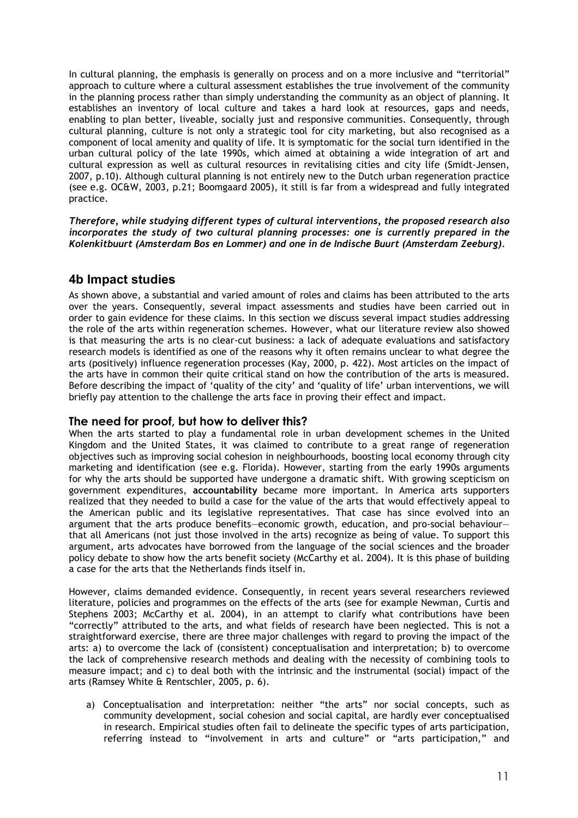In cultural planning, the emphasis is generally on process and on a more inclusive and "territorial" approach to culture where a cultural assessment establishes the true involvement of the community in the planning process rather than simply understanding the community as an object of planning. It establishes an inventory of local culture and takes a hard look at resources, gaps and needs, enabling to plan better, liveable, socially just and responsive communities. Consequently, through cultural planning, culture is not only a strategic tool for city marketing, but also recognised as a component of local amenity and quality of life. It is symptomatic for the social turn identified in the urban cultural policy of the late 1990s, which aimed at obtaining a wide integration of art and cultural expression as well as cultural resources in revitalising cities and city life (Smidt-Jensen, 2007, p.10). Although cultural planning is not entirely new to the Dutch urban regeneration practice (see e.g. OC&W, 2003, p.21; Boomgaard 2005), it still is far from a widespread and fully integrated practice.

*Therefore, while studying different types of cultural interventions, the proposed research also incorporates the study of two cultural planning processes: one is currently prepared in the Kolenkitbuurt (Amsterdam Bos en Lommer) and one in de Indische Buurt (Amsterdam Zeeburg).* 

### **4b Impact studies**

As shown above, a substantial and varied amount of roles and claims has been attributed to the arts over the years. Consequently, several impact assessments and studies have been carried out in order to gain evidence for these claims. In this section we discuss several impact studies addressing the role of the arts within regeneration schemes. However, what our literature review also showed is that measuring the arts is no clear-cut business: a lack of adequate evaluations and satisfactory research models is identified as one of the reasons why it often remains unclear to what degree the arts (positively) influence regeneration processes (Kay, 2000, p. 422). Most articles on the impact of the arts have in common their quite critical stand on how the contribution of the arts is measured. Before describing the impact of 'quality of the city' and 'quality of life' urban interventions, we will briefly pay attention to the challenge the arts face in proving their effect and impact.

### **The need for proof, but how to deliver this?**

When the arts started to play a fundamental role in urban development schemes in the United Kingdom and the United States, it was claimed to contribute to a great range of regeneration objectives such as improving social cohesion in neighbourhoods, boosting local economy through city marketing and identification (see e.g. Florida). However, starting from the early 1990s arguments for why the arts should be supported have undergone a dramatic shift. With growing scepticism on government expenditures, **accountability** became more important. In America arts supporters realized that they needed to build a case for the value of the arts that would effectively appeal to the American public and its legislative representatives. That case has since evolved into an argument that the arts produce benefits—economic growth, education, and pro-social behaviour that all Americans (not just those involved in the arts) recognize as being of value. To support this argument, arts advocates have borrowed from the language of the social sciences and the broader policy debate to show how the arts benefit society (McCarthy et al. 2004). It is this phase of building a case for the arts that the Netherlands finds itself in.

However, claims demanded evidence. Consequently, in recent years several researchers reviewed literature, policies and programmes on the effects of the arts (see for example Newman, Curtis and Stephens 2003; McCarthy et al. 2004), in an attempt to clarify what contributions have been "correctly" attributed to the arts, and what fields of research have been neglected. This is not a straightforward exercise, there are three major challenges with regard to proving the impact of the arts: a) to overcome the lack of (consistent) conceptualisation and interpretation; b) to overcome the lack of comprehensive research methods and dealing with the necessity of combining tools to measure impact; and c) to deal both with the intrinsic and the instrumental (social) impact of the arts (Ramsey White & Rentschler, 2005, p. 6).

a) Conceptualisation and interpretation: neither "the arts" nor social concepts, such as community development, social cohesion and social capital, are hardly ever conceptualised in research. Empirical studies often fail to delineate the specific types of arts participation, referring instead to "involvement in arts and culture" or "arts participation," and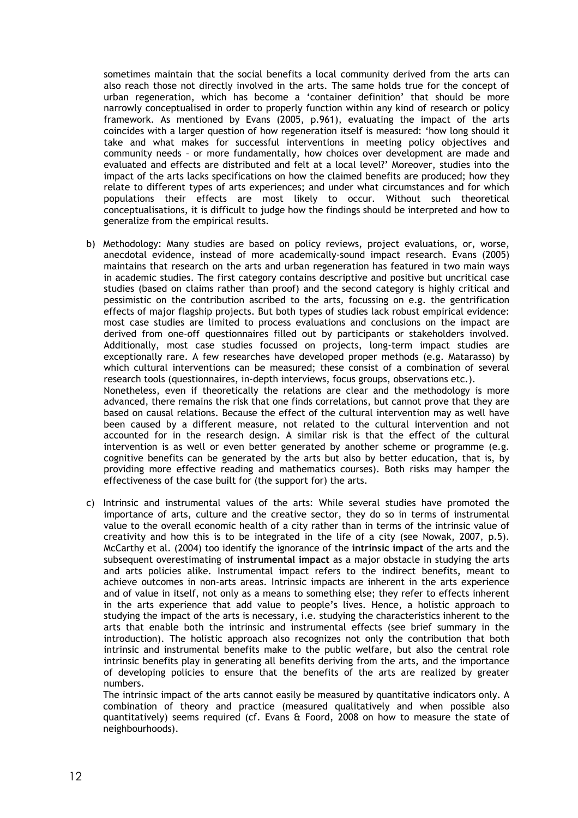sometimes maintain that the social benefits a local community derived from the arts can also reach those not directly involved in the arts. The same holds true for the concept of urban regeneration, which has become a 'container definition' that should be more narrowly conceptualised in order to properly function within any kind of research or policy framework. As mentioned by Evans (2005, p.961), evaluating the impact of the arts coincides with a larger question of how regeneration itself is measured: 'how long should it take and what makes for successful interventions in meeting policy objectives and community needs – or more fundamentally, how choices over development are made and evaluated and effects are distributed and felt at a local level?' Moreover, studies into the impact of the arts lacks specifications on how the claimed benefits are produced; how they relate to different types of arts experiences; and under what circumstances and for which populations their effects are most likely to occur. Without such theoretical conceptualisations, it is difficult to judge how the findings should be interpreted and how to generalize from the empirical results.

b) Methodology: Many studies are based on policy reviews, project evaluations, or, worse, anecdotal evidence, instead of more academically-sound impact research. Evans (2005) maintains that research on the arts and urban regeneration has featured in two main ways in academic studies. The first category contains descriptive and positive but uncritical case studies (based on claims rather than proof) and the second category is highly critical and pessimistic on the contribution ascribed to the arts, focussing on e.g. the gentrification effects of major flagship projects. But both types of studies lack robust empirical evidence: most case studies are limited to process evaluations and conclusions on the impact are derived from one-off questionnaires filled out by participants or stakeholders involved. Additionally, most case studies focussed on projects, long-term impact studies are exceptionally rare. A few researches have developed proper methods (e.g. Matarasso) by which cultural interventions can be measured; these consist of a combination of several research tools (questionnaires, in-depth interviews, focus groups, observations etc.). Nonetheless, even if theoretically the relations are clear and the methodology is more advanced, there remains the risk that one finds correlations, but cannot prove that they are based on causal relations. Because the effect of the cultural intervention may as well have been caused by a different measure, not related to the cultural intervention and not accounted for in the research design. A similar risk is that the effect of the cultural intervention is as well or even better generated by another scheme or programme (e.g. cognitive benefits can be generated by the arts but also by better education, that is, by

providing more effective reading and mathematics courses). Both risks may hamper the

effectiveness of the case built for (the support for) the arts.

c) Intrinsic and instrumental values of the arts: While several studies have promoted the importance of arts, culture and the creative sector, they do so in terms of instrumental value to the overall economic health of a city rather than in terms of the intrinsic value of creativity and how this is to be integrated in the life of a city (see Nowak, 2007, p.5). McCarthy et al. (2004) too identify the ignorance of the **intrinsic impact** of the arts and the subsequent overestimating of **instrumental impact** as a major obstacle in studying the arts and arts policies alike. Instrumental impact refers to the indirect benefits, meant to achieve outcomes in non-arts areas. Intrinsic impacts are inherent in the arts experience and of value in itself, not only as a means to something else; they refer to effects inherent in the arts experience that add value to people's lives. Hence, a holistic approach to studying the impact of the arts is necessary, i.e. studying the characteristics inherent to the arts that enable both the intrinsic and instrumental effects (see brief summary in the introduction). The holistic approach also recognizes not only the contribution that both intrinsic and instrumental benefits make to the public welfare, but also the central role intrinsic benefits play in generating all benefits deriving from the arts, and the importance of developing policies to ensure that the benefits of the arts are realized by greater numbers.

The intrinsic impact of the arts cannot easily be measured by quantitative indicators only. A combination of theory and practice (measured qualitatively and when possible also quantitatively) seems required (cf. Evans & Foord, 2008 on how to measure the state of neighbourhoods).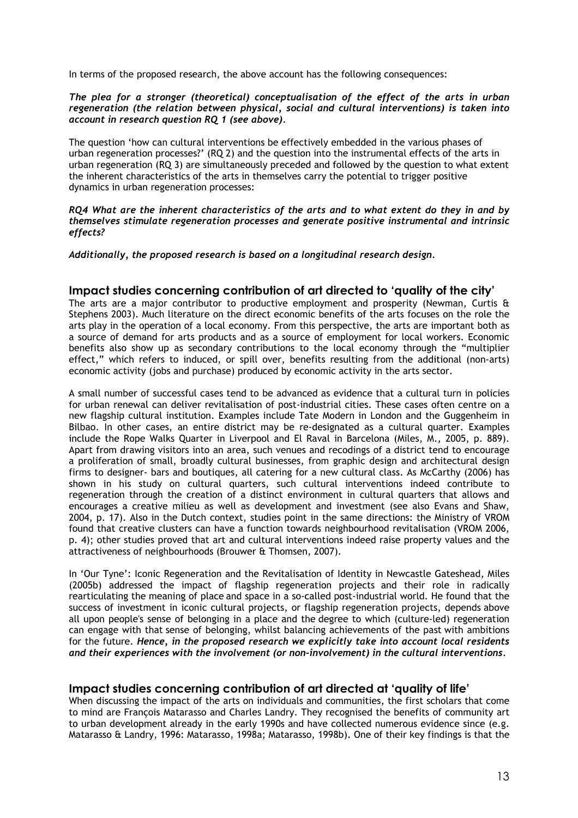In terms of the proposed research, the above account has the following consequences:

### *The plea for a stronger (theoretical) conceptualisation of the effect of the arts in urban regeneration (the relation between physical, social and cultural interventions) is taken into account in research question RQ 1 (see above).*

The question 'how can cultural interventions be effectively embedded in the various phases of urban regeneration processes?' (RQ 2) and the question into the instrumental effects of the arts in urban regeneration (RQ 3) are simultaneously preceded and followed by the question to what extent the inherent characteristics of the arts in themselves carry the potential to trigger positive dynamics in urban regeneration processes:

#### *RQ4 What are the inherent characteristics of the arts and to what extent do they in and by themselves stimulate regeneration processes and generate positive instrumental and intrinsic effects?*

*Additionally, the proposed research is based on a longitudinal research design.*

### **Impact studies concerning contribution of art directed to 'quality of the city'**

The arts are a major contributor to productive employment and prosperity (Newman, Curtis & Stephens 2003). Much literature on the direct economic benefits of the arts focuses on the role the arts play in the operation of a local economy. From this perspective, the arts are important both as a source of demand for arts products and as a source of employment for local workers. Economic benefits also show up as secondary contributions to the local economy through the "multiplier effect," which refers to induced, or spill over, benefits resulting from the additional (non-arts) economic activity (jobs and purchase) produced by economic activity in the arts sector.

A small number of successful cases tend to be advanced as evidence that a cultural turn in policies for urban renewal can deliver revitalisation of post-industrial cities. These cases often centre on a new flagship cultural institution. Examples include Tate Modern in London and the Guggenheim in Bilbao. In other cases, an entire district may be re-designated as a cultural quarter. Examples include the Rope Walks Quarter in Liverpool and El Raval in Barcelona (Miles, M., 2005, p. 889). Apart from drawing visitors into an area, such venues and recodings of a district tend to encourage a proliferation of small, broadly cultural businesses, from graphic design and architectural design firms to designer- bars and boutiques, all catering for a new cultural class. As McCarthy (2006) has shown in his study on cultural quarters, such cultural interventions indeed contribute to regeneration through the creation of a distinct environment in cultural quarters that allows and encourages a creative milieu as well as development and investment (see also Evans and Shaw, 2004, p. 17). Also in the Dutch context, studies point in the same directions: the Ministry of VROM found that creative clusters can have a function towards neighbourhood revitalisation (VROM 2006, p. 4); other studies proved that art and cultural interventions indeed raise property values and the attractiveness of neighbourhoods (Brouwer & Thomsen, 2007).

In 'Our Tyne': Iconic Regeneration and the Revitalisation of Identity in Newcastle Gateshead, Miles (2005b) addressed the impact of flagship regeneration projects and their role in radically rearticulating the meaning of place and space in a so-called post-industrial world. He found that the success of investment in iconic cultural projects, or flagship regeneration projects, depends above all upon people's sense of belonging in a place and the degree to which (culture-led) regeneration can engage with that sense of belonging, whilst balancing achievements of the past with ambitions for the future. *Hence, in the proposed research we explicitly take into account local residents and their experiences with the involvement (or non-involvement) in the cultural interventions.*

### **Impact studies concerning contribution of art directed at 'quality of life'**

When discussing the impact of the arts on individuals and communities, the first scholars that come to mind are François Matarasso and Charles Landry. They recognised the benefits of community art to urban development already in the early 1990s and have collected numerous evidence since (e.g. Matarasso & Landry, 1996: Matarasso, 1998a; Matarasso, 1998b). One of their key findings is that the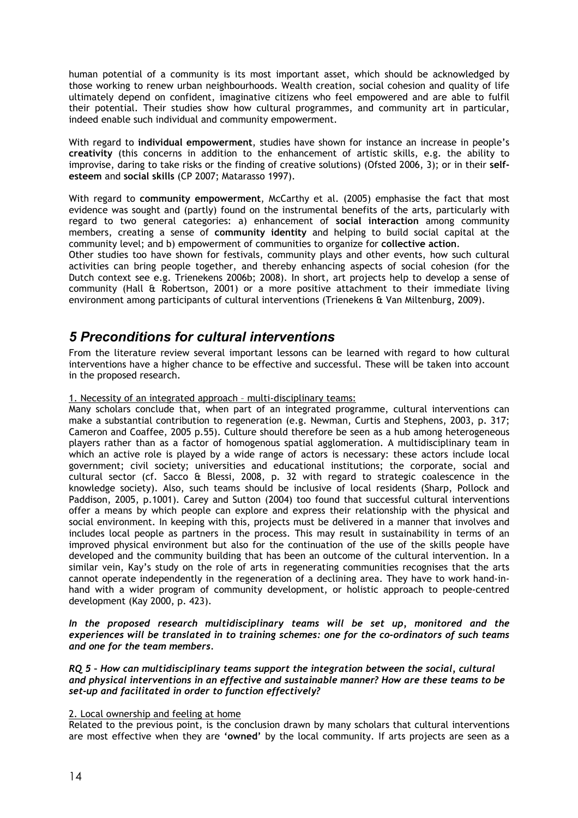human potential of a community is its most important asset, which should be acknowledged by those working to renew urban neighbourhoods. Wealth creation, social cohesion and quality of life ultimately depend on confident, imaginative citizens who feel empowered and are able to fulfil their potential. Their studies show how cultural programmes, and community art in particular, indeed enable such individual and community empowerment.

With regard to **individual empowerment**, studies have shown for instance an increase in people's **creativity** (this concerns in addition to the enhancement of artistic skills, e.g. the ability to improvise, daring to take risks or the finding of creative solutions) (Ofsted 2006, 3); or in their **selfesteem** and **social skills** (CP 2007; Matarasso 1997).

With regard to **community empowerment**, McCarthy et al. (2005) emphasise the fact that most evidence was sought and (partly) found on the instrumental benefits of the arts, particularly with regard to two general categories: a) enhancement of **social interaction** among community members, creating a sense of **community identity** and helping to build social capital at the community level; and b) empowerment of communities to organize for **collective action**.

Other studies too have shown for festivals, community plays and other events, how such cultural activities can bring people together, and thereby enhancing aspects of social cohesion (for the Dutch context see e.g. Trienekens 2006b; 2008). In short, art projects help to develop a sense of community (Hall & Robertson, 2001) or a more positive attachment to their immediate living environment among participants of cultural interventions (Trienekens & Van Miltenburg, 2009).

# *5 Preconditions for cultural interventions*

From the literature review several important lessons can be learned with regard to how cultural interventions have a higher chance to be effective and successful. These will be taken into account in the proposed research.

1. Necessity of an integrated approach – multi-disciplinary teams:

Many scholars conclude that, when part of an integrated programme, cultural interventions can make a substantial contribution to regeneration (e.g. Newman, Curtis and Stephens, 2003, p. 317; Cameron and Coaffee, 2005 p.55). Culture should therefore be seen as a hub among heterogeneous players rather than as a factor of homogenous spatial agglomeration. A multidisciplinary team in which an active role is played by a wide range of actors is necessary: these actors include local government; civil society; universities and educational institutions; the corporate, social and cultural sector (cf. Sacco & Blessi, 2008, p. 32 with regard to strategic coalescence in the knowledge society). Also, such teams should be inclusive of local residents (Sharp, Pollock and Paddison, 2005, p.1001). Carey and Sutton (2004) too found that successful cultural interventions offer a means by which people can explore and express their relationship with the physical and social environment. In keeping with this, projects must be delivered in a manner that involves and includes local people as partners in the process. This may result in sustainability in terms of an improved physical environment but also for the continuation of the use of the skills people have developed and the community building that has been an outcome of the cultural intervention. In a similar vein, Kay's study on the role of arts in regenerating communities recognises that the arts cannot operate independently in the regeneration of a declining area. They have to work hand-inhand with a wider program of community development, or holistic approach to people-centred development (Kay 2000, p. 423).

*In the proposed research multidisciplinary teams will be set up, monitored and the experiences will be translated in to training schemes: one for the co-ordinators of such teams and one for the team members.* 

*RQ 5 – How can multidisciplinary teams support the integration between the social, cultural and physical interventions in an effective and sustainable manner? How are these teams to be set-up and facilitated in order to function effectively?*

### 2. Local ownership and feeling at home

Related to the previous point, is the conclusion drawn by many scholars that cultural interventions are most effective when they are **'owned'** by the local community. If arts projects are seen as a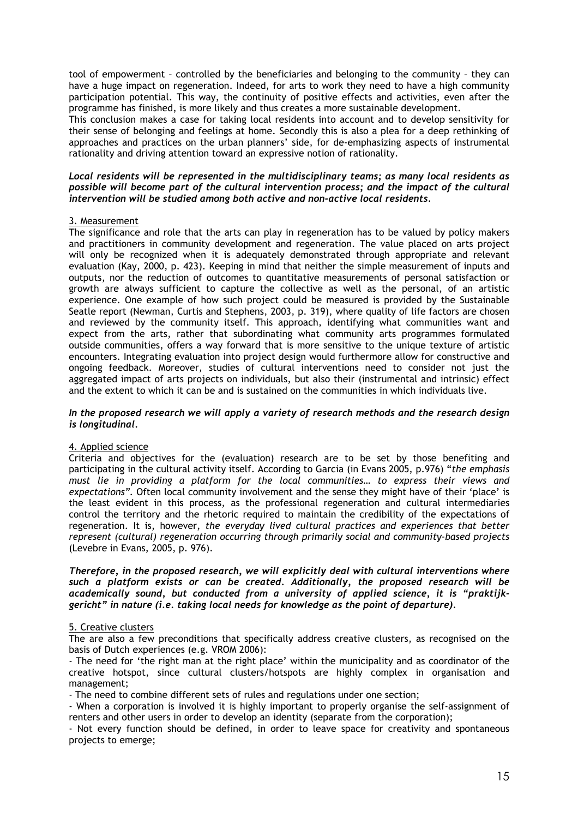tool of empowerment – controlled by the beneficiaries and belonging to the community – they can have a huge impact on regeneration. Indeed, for arts to work they need to have a high community participation potential. This way, the continuity of positive effects and activities, even after the programme has finished, is more likely and thus creates a more sustainable development.

This conclusion makes a case for taking local residents into account and to develop sensitivity for their sense of belonging and feelings at home. Secondly this is also a plea for a deep rethinking of approaches and practices on the urban planners' side, for de-emphasizing aspects of instrumental rationality and driving attention toward an expressive notion of rationality.

### *Local residents will be represented in the multidisciplinary teams; as many local residents as possible will become part of the cultural intervention process; and the impact of the cultural intervention will be studied among both active and non-active local residents.*

### 3. Measurement

The significance and role that the arts can play in regeneration has to be valued by policy makers and practitioners in community development and regeneration. The value placed on arts project will only be recognized when it is adequately demonstrated through appropriate and relevant evaluation (Kay, 2000, p. 423). Keeping in mind that neither the simple measurement of inputs and outputs, nor the reduction of outcomes to quantitative measurements of personal satisfaction or growth are always sufficient to capture the collective as well as the personal, of an artistic experience. One example of how such project could be measured is provided by the Sustainable Seatle report (Newman, Curtis and Stephens, 2003, p. 319), where quality of life factors are chosen and reviewed by the community itself. This approach, identifying what communities want and expect from the arts, rather that subordinating what community arts programmes formulated outside communities, offers a way forward that is more sensitive to the unique texture of artistic encounters. Integrating evaluation into project design would furthermore allow for constructive and ongoing feedback. Moreover, studies of cultural interventions need to consider not just the aggregated impact of arts projects on individuals, but also their (instrumental and intrinsic) effect and the extent to which it can be and is sustained on the communities in which individuals live.

#### *In the proposed research we will apply a variety of research methods and the research design is longitudinal.*

### 4. Applied science

Criteria and objectives for the (evaluation) research are to be set by those benefiting and participating in the cultural activity itself. According to Garcia (in Evans 2005, p.976) "*the emphasis must lie in providing a platform for the local communities… to express their views and expectations".* Often local community involvement and the sense they might have of their 'place' is the least evident in this process, as the professional regeneration and cultural intermediaries control the territory and the rhetoric required to maintain the credibility of the expectations of regeneration. It is, however, *the everyday lived cultural practices and experiences that better represent (cultural) regeneration occurring through primarily social and community-based projects* (Levebre in Evans, 2005, p. 976).

### *Therefore, in the proposed research, we will explicitly deal with cultural interventions where such a platform exists or can be created. Additionally, the proposed research will be academically sound, but conducted from a university of applied science, it is "praktijkgericht" in nature (i.e. taking local needs for knowledge as the point of departure).*

### 5. Creative clusters

The are also a few preconditions that specifically address creative clusters, as recognised on the basis of Dutch experiences (e.g. VROM 2006):

- The need for 'the right man at the right place' within the municipality and as coordinator of the creative hotspot, since cultural clusters/hotspots are highly complex in organisation and management;

- The need to combine different sets of rules and regulations under one section;

- When a corporation is involved it is highly important to properly organise the self-assignment of renters and other users in order to develop an identity (separate from the corporation);

- Not every function should be defined, in order to leave space for creativity and spontaneous projects to emerge;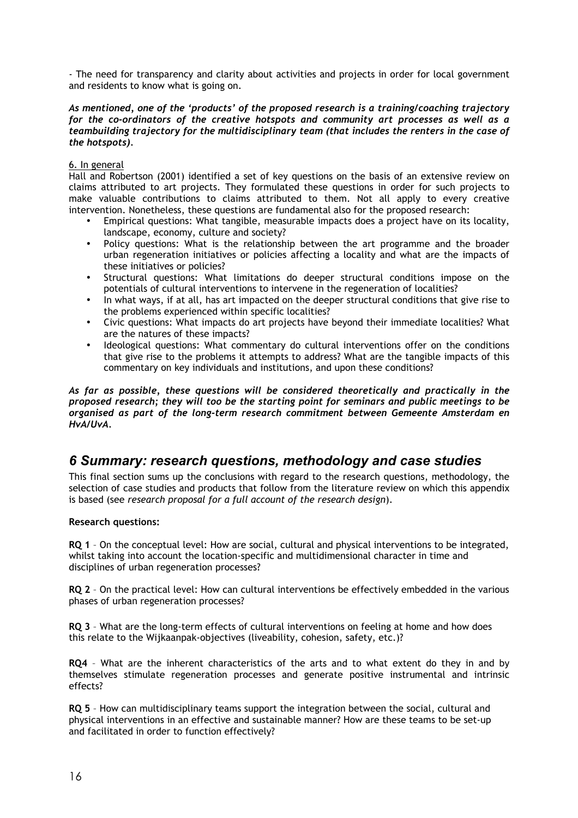- The need for transparency and clarity about activities and projects in order for local government and residents to know what is going on.

### *As mentioned, one of the 'products' of the proposed research is a training/coaching trajectory for the co-ordinators of the creative hotspots and community art processes as well as a teambuilding trajectory for the multidisciplinary team (that includes the renters in the case of the hotspots).*

### 6. In general

Hall and Robertson (2001) identified a set of key questions on the basis of an extensive review on claims attributed to art projects. They formulated these questions in order for such projects to make valuable contributions to claims attributed to them. Not all apply to every creative intervention. Nonetheless, these questions are fundamental also for the proposed research:

- Empirical questions: What tangible, measurable impacts does a project have on its locality, landscape, economy, culture and society?
- Policy questions: What is the relationship between the art programme and the broader urban regeneration initiatives or policies affecting a locality and what are the impacts of these initiatives or policies?
- Structural questions: What limitations do deeper structural conditions impose on the potentials of cultural interventions to intervene in the regeneration of localities?
- In what ways, if at all, has art impacted on the deeper structural conditions that give rise to the problems experienced within specific localities?
- Civic questions: What impacts do art projects have beyond their immediate localities? What are the natures of these impacts?
- Ideological questions: What commentary do cultural interventions offer on the conditions that give rise to the problems it attempts to address? What are the tangible impacts of this commentary on key individuals and institutions, and upon these conditions?

*As far as possible, these questions will be considered theoretically and practically in the proposed research; they will too be the starting point for seminars and public meetings to be organised as part of the long-term research commitment between Gemeente Amsterdam en HvA/UvA.*

### *6 Summary: research questions, methodology and case studies*

This final section sums up the conclusions with regard to the research questions, methodology, the selection of case studies and products that follow from the literature review on which this appendix is based (see *research proposal for a full account of the research design*).

### **Research questions:**

**RQ 1** – On the conceptual level: How are social, cultural and physical interventions to be integrated, whilst taking into account the location-specific and multidimensional character in time and disciplines of urban regeneration processes?

**RQ 2** – On the practical level: How can cultural interventions be effectively embedded in the various phases of urban regeneration processes?

**RQ 3** – What are the long-term effects of cultural interventions on feeling at home and how does this relate to the Wijkaanpak-objectives (liveability, cohesion, safety, etc.)?

**RQ4** – What are the inherent characteristics of the arts and to what extent do they in and by themselves stimulate regeneration processes and generate positive instrumental and intrinsic effects?

**RQ 5** – How can multidisciplinary teams support the integration between the social, cultural and physical interventions in an effective and sustainable manner? How are these teams to be set-up and facilitated in order to function effectively?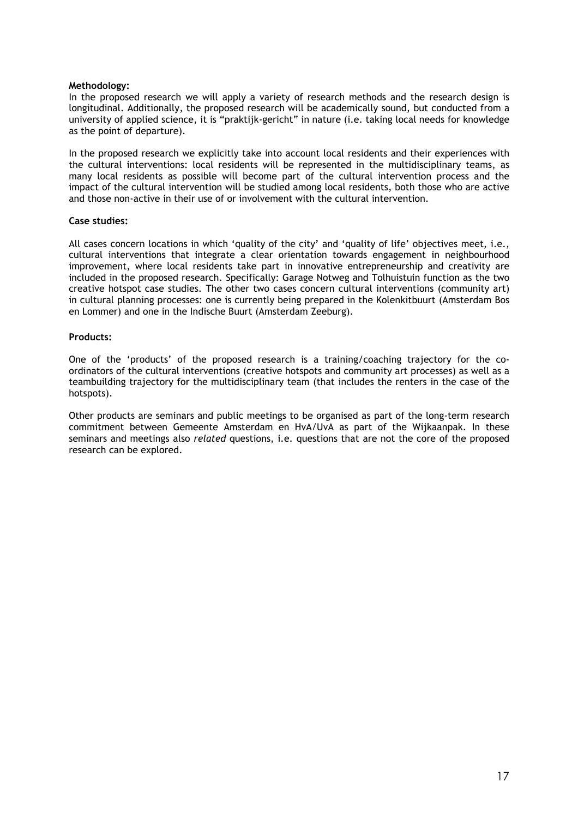### **Methodology:**

In the proposed research we will apply a variety of research methods and the research design is longitudinal. Additionally, the proposed research will be academically sound, but conducted from a university of applied science, it is "praktijk-gericht" in nature (i.e. taking local needs for knowledge as the point of departure).

In the proposed research we explicitly take into account local residents and their experiences with the cultural interventions: local residents will be represented in the multidisciplinary teams, as many local residents as possible will become part of the cultural intervention process and the impact of the cultural intervention will be studied among local residents, both those who are active and those non-active in their use of or involvement with the cultural intervention.

#### **Case studies:**

All cases concern locations in which 'quality of the city' and 'quality of life' objectives meet, i.e., cultural interventions that integrate a clear orientation towards engagement in neighbourhood improvement, where local residents take part in innovative entrepreneurship and creativity are included in the proposed research. Specifically: Garage Notweg and Tolhuistuin function as the two creative hotspot case studies. The other two cases concern cultural interventions (community art) in cultural planning processes: one is currently being prepared in the Kolenkitbuurt (Amsterdam Bos en Lommer) and one in the Indische Buurt (Amsterdam Zeeburg).

#### **Products:**

One of the 'products' of the proposed research is a training/coaching trajectory for the coordinators of the cultural interventions (creative hotspots and community art processes) as well as a teambuilding trajectory for the multidisciplinary team (that includes the renters in the case of the hotspots).

Other products are seminars and public meetings to be organised as part of the long-term research commitment between Gemeente Amsterdam en HvA/UvA as part of the Wijkaanpak. In these seminars and meetings also *related* questions, i.e. questions that are not the core of the proposed research can be explored.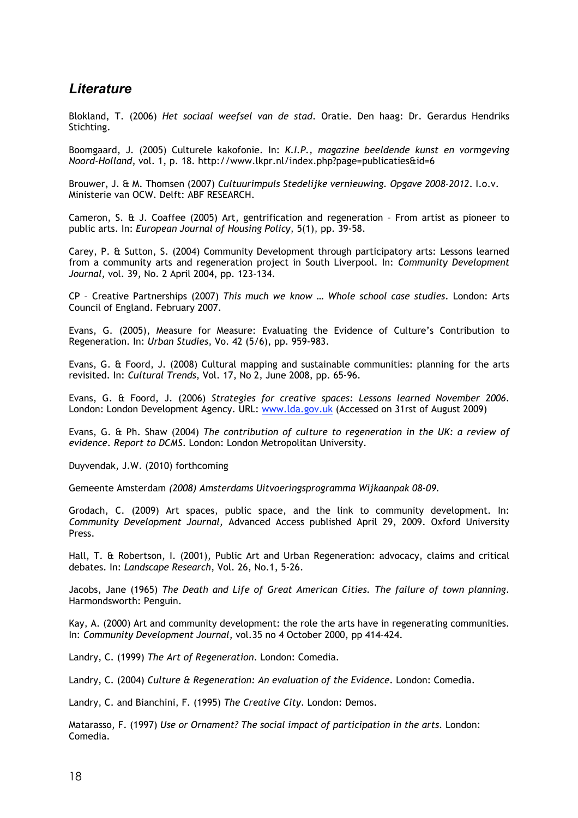# *Literature*

Blokland, T. (2006) *Het sociaal weefsel van de stad*. Oratie. Den haag: Dr. Gerardus Hendriks Stichting.

Boomgaard, J. (2005) Culturele kakofonie. In: *K.I.P., magazine beeldende kunst en vormgeving Noord-Holland*, vol. 1, p. 18. http://www.lkpr.nl/index.php?page=publicaties&id=6

Brouwer, J. & M. Thomsen (2007) *Cultuurimpuls Stedelijke vernieuwing. Opgave 2008-2012*. I.o.v. Ministerie van OCW. Delft: ABF RESEARCH.

Cameron, S. & J. Coaffee (2005) Art, gentrification and regeneration – From artist as pioneer to public arts. In: *European Journal of Housing Policy*, 5(1), pp. 39-58.

Carey, P. & Sutton, S. (2004) Community Development through participatory arts: Lessons learned from a community arts and regeneration project in South Liverpool. In: *Community Development Journal*, vol. 39, No. 2 April 2004, pp. 123-134.

CP – Creative Partnerships (2007) *This much we know … Whole school case studies*. London: Arts Council of England. February 2007.

Evans, G. (2005), Measure for Measure: Evaluating the Evidence of Culture's Contribution to Regeneration. In: *Urban Studies*, Vo. 42 (5/6), pp. 959-983.

Evans, G. & Foord, J. (2008) Cultural mapping and sustainable communities: planning for the arts revisited. In: *Cultural Trends*, Vol. 17, No 2, June 2008, pp. 65-96.

Evans, G. & Foord, J. (2006) *Strategies for creative spaces: Lessons learned November 2006*. London: London Development Agency. URL: www.lda.gov.uk (Accessed on 31rst of August 2009)

Evans, G. & Ph. Shaw (2004) *The contribution of culture to regeneration in the UK: a review of evidence. Report to DCMS*. London: London Metropolitan University.

Duyvendak, J.W. (2010) forthcoming

Gemeente Amsterdam *(2008) Amsterdams Uitvoeringsprogramma Wijkaanpak 08-09.*

Grodach, C. (2009) Art spaces, public space, and the link to community development. In: *Community Development Journal,* Advanced Access published April 29, 2009. Oxford University Press.

Hall, T. & Robertson, I. (2001), Public Art and Urban Regeneration: advocacy, claims and critical debates. In: *Landscape Research*, Vol. 26, No.1, 5-26.

Jacobs, Jane (1965) *The Death and Life of Great American Cities. The failure of town planning*. Harmondsworth: Penguin.

Kay, A. (2000) Art and community development: the role the arts have in regenerating communities. In: *Community Development Journal*, vol.35 no 4 October 2000, pp 414-424.

Landry, C. (1999) *The Art of Regeneration*. London: Comedia.

Landry, C. (2004) *Culture & Regeneration: An evaluation of the Evidence*. London: Comedia.

Landry, C. and Bianchini, F. (1995) *The Creative City*. London: Demos.

Matarasso, F. (1997) *Use or Ornament? The social impact of participation in the arts.* London: Comedia.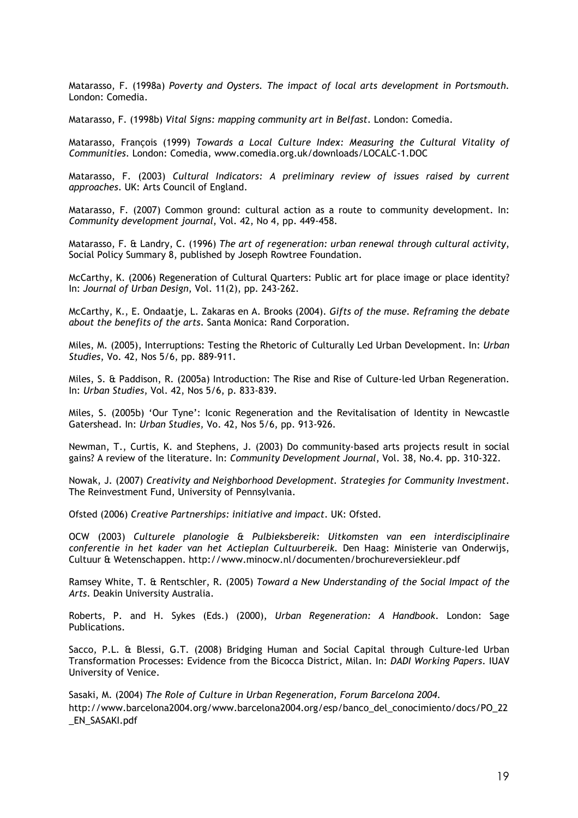Matarasso, F. (1998a) *Poverty and Oysters. The impact of local arts development in Portsmouth.*  London: Comedia.

Matarasso, F. (1998b) *Vital Signs: mapping community art in Belfast*. London: Comedia.

Matarasso, François (1999) *Towards a Local Culture Index: Measuring the Cultural Vitality of Communities*. London: Comedia, www.comedia.org.uk/downloads/LOCALC-1.DOC

Matarasso, F. (2003) *Cultural Indicators: A preliminary review of issues raised by current approaches*. UK: Arts Council of England.

Matarasso, F. (2007) Common ground: cultural action as a route to community development. In: *Community development journal*, Vol. 42, No 4, pp. 449-458.

Matarasso, F. & Landry, C. (1996) *The art of regeneration: urban renewal through cultural activity*, Social Policy Summary 8, published by Joseph Rowtree Foundation.

McCarthy, K. (2006) Regeneration of Cultural Quarters: Public art for place image or place identity? In: *Journal of Urban Design*, Vol. 11(2), pp. 243-262.

McCarthy, K., E. Ondaatje, L. Zakaras en A. Brooks (2004). *Gifts of the muse. Reframing the debate about the benefits of the arts*. Santa Monica: Rand Corporation.

Miles, M. (2005), Interruptions: Testing the Rhetoric of Culturally Led Urban Development. In: *Urban Studies*, Vo. 42, Nos 5/6, pp. 889-911.

Miles, S. & Paddison, R. (2005a) Introduction: The Rise and Rise of Culture-led Urban Regeneration. In: *Urban Studies*, Vol. 42, Nos 5/6, p. 833-839.

Miles, S. (2005b) 'Our Tyne': Iconic Regeneration and the Revitalisation of Identity in Newcastle Gatershead. In: *Urban Studies,* Vo. 42, Nos 5/6, pp. 913-926.

Newman, T., Curtis, K. and Stephens, J. (2003) Do community-based arts projects result in social gains? A review of the literature. In: *Community Development Journal*, Vol. 38, No.4. pp. 310-322.

Nowak, J. (2007) *Creativity and Neighborhood Development. Strategies for Community Investment*. The Reinvestment Fund, University of Pennsylvania.

Ofsted (2006) *Creative Partnerships: initiative and impact*. UK: Ofsted.

OCW (2003) *Culturele planologie & Pulbieksbereik: Uitkomsten van een interdisciplinaire conferentie in het kader van het Actieplan Cultuurbereik.* Den Haag: Ministerie van Onderwijs, Cultuur & Wetenschappen. http://www.minocw.nl/documenten/brochureversiekleur.pdf

Ramsey White, T. & Rentschler, R. (2005) *Toward a New Understanding of the Social Impact of the Arts*. Deakin University Australia.

Roberts, P. and H. Sykes (Eds.) (2000), *Urban Regeneration: A Handbook*. London: Sage Publications.

Sacco, P.L. & Blessi, G.T. (2008) Bridging Human and Social Capital through Culture-led Urban Transformation Processes: Evidence from the Bicocca District, Milan. In: *DADI Working Papers*. IUAV University of Venice.

Sasaki, M. (2004) *The Role of Culture in Urban Regeneration, Forum Barcelona 2004.*  http://www.barcelona2004.org/www.barcelona2004.org/esp/banco\_del\_conocimiento/docs/PO\_22 \_EN\_SASAKI.pdf